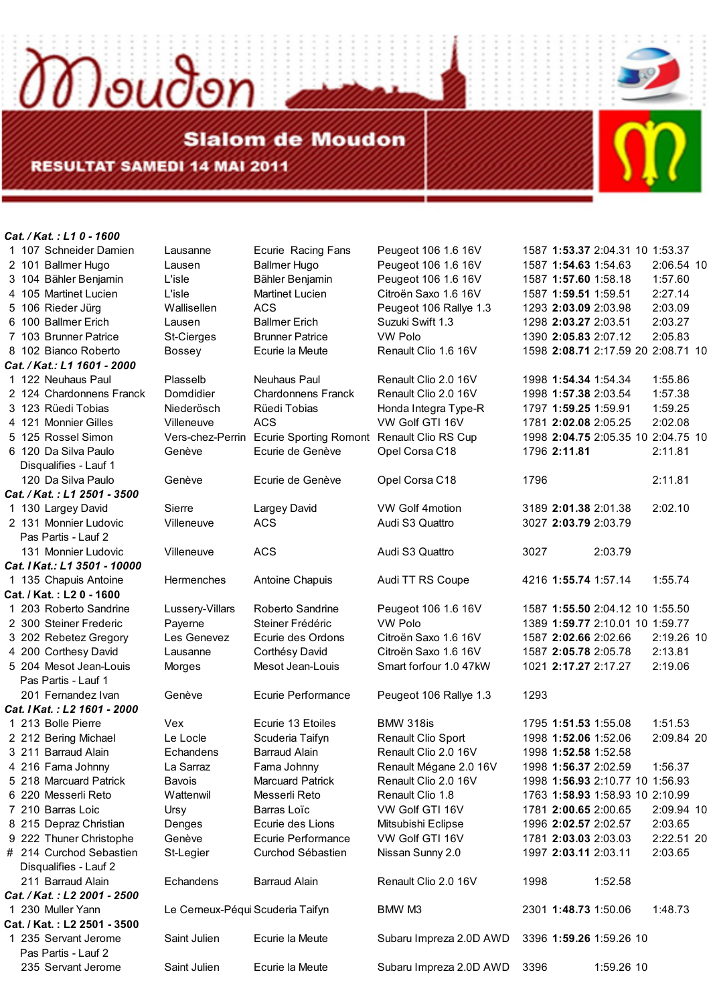**Slalom de Moudon RESULTAT SAMEDI 14 MAI 2011** 

Moudon

*Cat. / Kat. : L1 0 - 1600* 

Disqualifies - Lauf 1 *Cat. / Kat. : L1 2501 - 3500*  Pas Partis - Lauf 2 *Cat. I Kat.: L1 3501 - 10000* **Cat. / Kat. : L2 0 - 1600**  Pas Partis - Lauf 1 *Cat. I Kat. : L2 1601 - 2000*  Disqualifies - Lauf 2 *Cat. / Kat.: L1 1601 - 2000* 

*Cat. / Kat. : L2 2001 - 2500*  **Cat. / Kat. : L2 2501 - 3500**  235 Servant Jerome Saint Julien Ecurie la Meute Subaru Impreza 2.0D AWD 3396 **1:59.26** 1:59.26 10

Pas Partis - Lauf 2 Servant Jerome Saint Julien Ecurie la Meute Subaru Impreza 2.0D AWD 3396 1:59.26 10

 101 Ballmer Hugo Lausen Ballmer Hugo Peugeot 106 1.6 16V 1587 **1:54.63** 1:54.63 2:06.54 10 104 Bähler Benjamin L'isle Bähler Benjamin Peugeot 106 1.6 16V 1587 **1:57.60** 1:58.18 1:57.60 105 Martinet Lucien L'isle Martinet Lucien Citroën Saxo 1.6 16V 1587 **1:59.51** 1:59.51 2:27.14 106 Rieder Jürg Wallisellen ACS Peugeot 106 Rallye 1.3 1293 **2:03.09** 2:03.98 2:03.09 100 Ballmer Erich Lausen Ballmer Erich Suzuki Swift 1.3 1298 **2:03.27** 2:03.51 2:03.27 103 Brunner Patrice St-Cierges Brunner Patrice VW Polo 1390 **2:05.83** 2:07.12 2:05.83 102 Bianco Roberto Bossey Ecurie la Meute Renault Clio 1.6 16V 1598 **2:08.71** 2:17.59 20 2:08.71 10 122 Neuhaus Paul Plasselb Neuhaus Paul Renault Clio 2.0 16V 1998 **1:54.34** 1:54.34 1:55.86 124 Chardonnens Franck Domdidier Chardonnens Franck Renault Clio 2.0 16V 1998 **1:57.38** 2:03.54 1:57.38 123 Rüedi Tobias Niederösch Rüedi Tobias Honda Integra Type-R 1797 **1:59.25** 1:59.91 1:59.25 121 Monnier Gilles Villeneuve ACS VW Golf GTI 16V 1781 **2:02.08** 2:05.25 2:02.08 125 Rossel Simon Vers-chez-Perrin Ecurie Sporting Romont Renault Clio RS Cup 1998 **2:04.75** 2:05.35 10 2:04.75 10 120 Da Silva Paulo Genève Ecurie de Genève Opel Corsa C18 1796 **2:11.81** 2:11.81 Da Silva Paulo Genève Ecurie de Genève Opel Corsa C18 1796 2:11.81 130 Largey David Sierre Largey David VW Golf 4motion 3189 **2:01.38** 2:01.38 2:02.10 131 Monnier Ludovic Villeneuve ACS Audi S3 Quattro 3027 **2:03.79** 2:03.79 131 Monnier Ludovic Villeneuve ACS Audi S3 Quattro 3027 2:03.79 135 Chapuis Antoine Hermenches Antoine Chapuis Audi TT RS Coupe 4216 **1:55.74** 1:57.14 1:55.74 203 Roberto Sandrine Lussery-Villars Roberto Sandrine Peugeot 106 1.6 16V 1587 **1:55.50** 2:04.12 10 1:55.50 300 Steiner Frederic Payerne Steiner Frédéric VW Polo 1389 **1:59.77** 2:10.01 10 1:59.77 202 Rebetez Gregory Les Genevez Ecurie des Ordons Citroën Saxo 1.6 16V 1587 **2:02.66** 2:02.66 2:19.26 10 200 Corthesy David Lausanne Corthésy David Citroën Saxo 1.6 16V 1587 **2:05.78** 2:05.78 2:13.81 204 Mesot Jean-Louis Morges Mesot Jean-Louis Smart forfour 1.0 47kW 1021 **2:17.27** 2:17.27 2:19.06 Fernandez Ivan Genève Ecurie Performance Peugeot 106 Rallye 1.3 1293 213 Bolle Pierre Vex Ecurie 13 Etoiles BMW 318is 1795 **1:51.53** 1:55.08 1:51.53 212 Bering Michael Le Locle Scuderia Taifyn Renault Clio Sport 1998 **1:52.06** 1:52.06 2:09.84 20 211 Barraud Alain Echandens Barraud Alain Renault Clio 2.0 16V 1998 **1:52.58** 1:52.58 216 Fama Johnny La Sarraz Fama Johnny Renault Mégane 2.0 16V 1998 **1:56.37** 2:02.59 1:56.37 218 Marcuard Patrick Bavois Marcuard Patrick Renault Clio 2.0 16V 1998 **1:56.93** 2:10.77 10 1:56.93 220 Messerli Reto Wattenwil Messerli Reto Renault Clio 1.8 1763 **1:58.93** 1:58.93 10 2:10.99 210 Barras Loic Ursy Barras Loïc VW Golf GTI 16V 1781 **2:00.65** 2:00.65 2:09.94 10 215 Depraz Christian Denges Ecurie des Lions Mitsubishi Eclipse 1996 **2:02.57** 2:02.57 2:03.65 222 Thuner Christophe Genève Ecurie Performance VW Golf GTI 16V 1781 **2:03.03** 2:03.03 2:22.51 20 # 214 Curchod Sebastien St-Legier Curchod Sébastien Nissan Sunny 2.0 1997 **2:03.11** 2:03.11 2:03.65 Barraud Alain Echandens Barraud Alain Renault Clio 2.0 16V 1998 1:52.58 230 Muller Yann Le Cerneux-PéquiScuderia Taifyn BMW M3 2301 **1:48.73** 1:50.06 1:48.73

107 Schneider Damien Lausanne Ecurie Racing Fans Peugeot 106 1.6 16V 1587 **1:53.37** 2:04.31 10 1:53.37